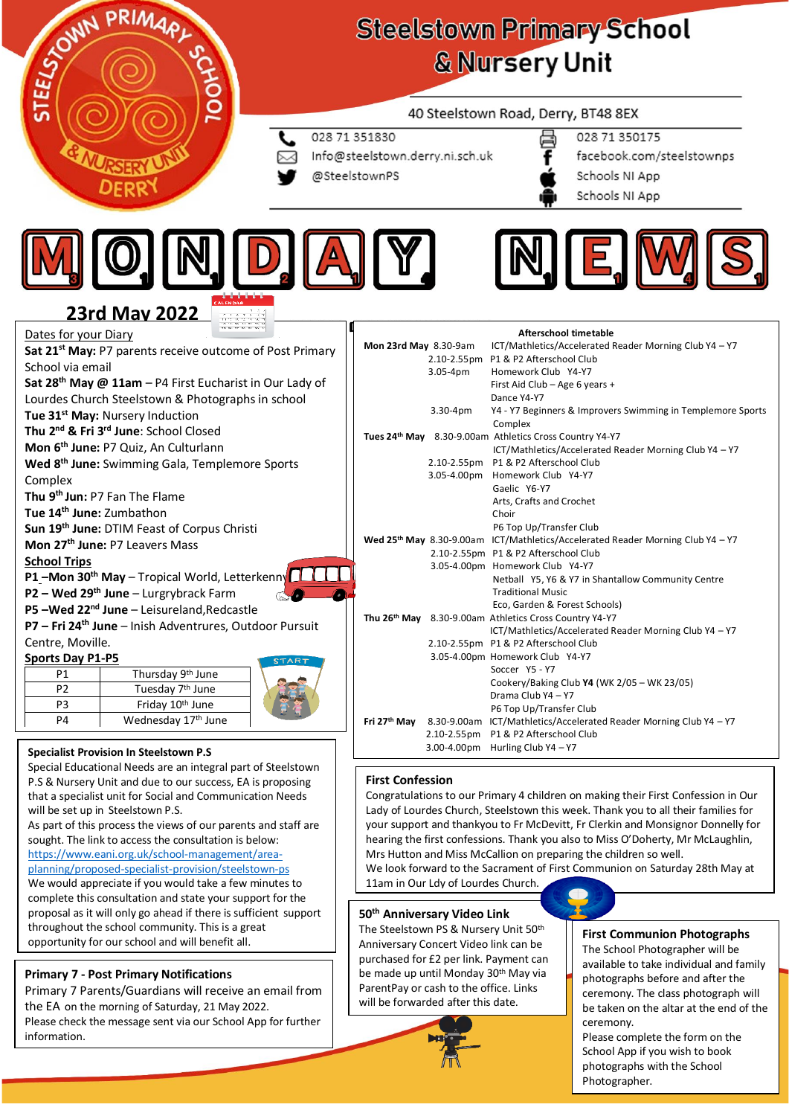

# **Steelstown Primary School & Nursery Unit**

## 40 Steelstown Road, Derry, BT48 8EX

- 028 71 351830
- Info@steelstown.derry.ni.sch.uk
- @SteelstownPS
- 028 71 350175
	- facebook.com/steelstownps Schools NI App
	- Schools NI App





# **23rd May 2022**

|                                                                                                                                                                                                                                                                                                                                                                                                                                                                    | <u>WITH FULL</u>                                                    |                                                                      |  |                                                                    |                                                                                                |                                                                    |
|--------------------------------------------------------------------------------------------------------------------------------------------------------------------------------------------------------------------------------------------------------------------------------------------------------------------------------------------------------------------------------------------------------------------------------------------------------------------|---------------------------------------------------------------------|----------------------------------------------------------------------|--|--------------------------------------------------------------------|------------------------------------------------------------------------------------------------|--------------------------------------------------------------------|
| Dates for your Diary                                                                                                                                                                                                                                                                                                                                                                                                                                               |                                                                     |                                                                      |  |                                                                    |                                                                                                | Afterschool timetable                                              |
|                                                                                                                                                                                                                                                                                                                                                                                                                                                                    |                                                                     | Sat 21 <sup>st</sup> May: P7 parents receive outcome of Post Primary |  | Mon 23rd May 8.30-9am                                              |                                                                                                | ICT/Mathletics/Accelerated Reader Morning Club Y4 - Y7             |
| School via email                                                                                                                                                                                                                                                                                                                                                                                                                                                   |                                                                     |                                                                      |  |                                                                    |                                                                                                | 2.10-2.55pm P1 & P2 Afterschool Club                               |
|                                                                                                                                                                                                                                                                                                                                                                                                                                                                    |                                                                     |                                                                      |  |                                                                    | $3.05-4pm$                                                                                     | Homework Club Y4-Y7                                                |
|                                                                                                                                                                                                                                                                                                                                                                                                                                                                    |                                                                     |                                                                      |  |                                                                    |                                                                                                | First Aid Club - Age 6 years +                                     |
|                                                                                                                                                                                                                                                                                                                                                                                                                                                                    |                                                                     |                                                                      |  |                                                                    |                                                                                                | Dance Y4-Y7                                                        |
|                                                                                                                                                                                                                                                                                                                                                                                                                                                                    |                                                                     |                                                                      |  |                                                                    | $3.30 - 4pm$                                                                                   | Y4 - Y7 Beginners & Improvers Swimming in Templemore Sports        |
| Sat 28 <sup>th</sup> May @ 11am $-$ P4 First Eucharist in Our Lady of<br>Lourdes Church Steelstown & Photographs in school<br>Tue 31 <sup>st</sup> May: Nursery Induction<br>Thu 2 <sup>nd</sup> & Fri 3 <sup>rd</sup> June: School Closed<br>Mon 27 <sup>th</sup> June: P7 Leavers Mass<br><b>School Trips</b><br><b>P1-Mon 30th May - Tropical World, Letterkenny</b><br>$P2 - Wed 29th June - Lurgrybrack Farm$<br>P5 $-Wed 22nd June – Leisureland, Redcastle$ |                                                                     |                                                                      |  | Complex<br>Tues 24th May 8.30-9.00am Athletics Cross Country Y4-Y7 |                                                                                                |                                                                    |
| Mon 6 <sup>th</sup> June: P7 Quiz, An Culturlann<br>Wed 8 <sup>th</sup> June: Swimming Gala, Templemore Sports<br>Complex<br>Thu 9 <sup>th</sup> Jun: P7 Fan The Flame<br>Tue 14 <sup>th</sup> June: Zumbathon                                                                                                                                                                                                                                                     |                                                                     |                                                                      |  | ICT/Mathletics/Accelerated Reader Morning Club Y4 - Y7             |                                                                                                |                                                                    |
| Sun 19th June: DTIM Feast of Corpus Christi                                                                                                                                                                                                                                                                                                                                                                                                                        |                                                                     |                                                                      |  | 2.10-2.55pm P1 & P2 Afterschool Club                               |                                                                                                |                                                                    |
|                                                                                                                                                                                                                                                                                                                                                                                                                                                                    |                                                                     |                                                                      |  | 3.05-4.00pm                                                        | Homework Club Y4-Y7                                                                            |                                                                    |
|                                                                                                                                                                                                                                                                                                                                                                                                                                                                    |                                                                     |                                                                      |  |                                                                    |                                                                                                | Gaelic Y6-Y7                                                       |
|                                                                                                                                                                                                                                                                                                                                                                                                                                                                    |                                                                     |                                                                      |  |                                                                    |                                                                                                | Arts, Crafts and Crochet                                           |
|                                                                                                                                                                                                                                                                                                                                                                                                                                                                    |                                                                     |                                                                      |  |                                                                    | Choir                                                                                          |                                                                    |
|                                                                                                                                                                                                                                                                                                                                                                                                                                                                    |                                                                     |                                                                      |  | P6 Top Up/Transfer Club                                            |                                                                                                |                                                                    |
|                                                                                                                                                                                                                                                                                                                                                                                                                                                                    |                                                                     |                                                                      |  |                                                                    | Wed 25 <sup>th</sup> May 8.30-9.00am ICT/Mathletics/Accelerated Reader Morning Club Y4 - Y7    |                                                                    |
|                                                                                                                                                                                                                                                                                                                                                                                                                                                                    |                                                                     |                                                                      |  |                                                                    | 2.10-2.55pm P1 & P2 Afterschool Club                                                           |                                                                    |
|                                                                                                                                                                                                                                                                                                                                                                                                                                                                    |                                                                     |                                                                      |  |                                                                    |                                                                                                | 3.05-4.00pm Homework Club Y4-Y7                                    |
|                                                                                                                                                                                                                                                                                                                                                                                                                                                                    |                                                                     |                                                                      |  |                                                                    |                                                                                                | Netball Y5, Y6 & Y7 in Shantallow Community Centre                 |
|                                                                                                                                                                                                                                                                                                                                                                                                                                                                    |                                                                     |                                                                      |  |                                                                    |                                                                                                | <b>Traditional Music</b>                                           |
|                                                                                                                                                                                                                                                                                                                                                                                                                                                                    |                                                                     |                                                                      |  |                                                                    | Eco, Garden & Forest Schools)                                                                  |                                                                    |
|                                                                                                                                                                                                                                                                                                                                                                                                                                                                    | P7 - Fri 24 <sup>th</sup> June - Inish Adventrures, Outdoor Pursuit |                                                                      |  |                                                                    |                                                                                                | Thu 26 <sup>th</sup> May 8.30-9.00am Athletics Cross Country Y4-Y7 |
| Centre, Moville.                                                                                                                                                                                                                                                                                                                                                                                                                                                   |                                                                     |                                                                      |  |                                                                    | ICT/Mathletics/Accelerated Reader Morning Club Y4 - Y7<br>2.10-2.55pm P1 & P2 Afterschool Club |                                                                    |
|                                                                                                                                                                                                                                                                                                                                                                                                                                                                    |                                                                     |                                                                      |  |                                                                    | 3.05-4.00pm Homework Club Y4-Y7                                                                |                                                                    |
| <b>Sports Day P1-P5</b><br><b>START</b>                                                                                                                                                                                                                                                                                                                                                                                                                            |                                                                     |                                                                      |  |                                                                    | Soccer Y5 - Y7                                                                                 |                                                                    |
| P1                                                                                                                                                                                                                                                                                                                                                                                                                                                                 | Thursday 9 <sup>th</sup> June                                       |                                                                      |  |                                                                    |                                                                                                | Cookery/Baking Club Y4 (WK 2/05 - WK 23/05)                        |
| P <sub>2</sub>                                                                                                                                                                                                                                                                                                                                                                                                                                                     | Tuesday 7 <sup>th</sup> June                                        |                                                                      |  |                                                                    |                                                                                                | Drama Club Y4 - Y7                                                 |
| P <sub>3</sub>                                                                                                                                                                                                                                                                                                                                                                                                                                                     | Friday 10th June                                                    |                                                                      |  |                                                                    |                                                                                                | P6 Top Up/Transfer Club                                            |
| P <sub>4</sub>                                                                                                                                                                                                                                                                                                                                                                                                                                                     | Wednesday 17th June                                                 |                                                                      |  | Fri 27th May                                                       |                                                                                                | 8.30-9.00am ICT/Mathletics/Accelerated Reader Morning Club Y4 - Y7 |
|                                                                                                                                                                                                                                                                                                                                                                                                                                                                    |                                                                     |                                                                      |  |                                                                    | 2.10-2.55pm P1 & P2 Afterschool Club                                                           |                                                                    |
| <b>Specialist Provision In Steelstown P.S</b>                                                                                                                                                                                                                                                                                                                                                                                                                      |                                                                     |                                                                      |  |                                                                    | 3.00-4.00pm Hurling Club $YA - Y7$                                                             |                                                                    |
|                                                                                                                                                                                                                                                                                                                                                                                                                                                                    |                                                                     |                                                                      |  |                                                                    |                                                                                                |                                                                    |

### P5 Thursday 16th June **Specialist Provision In Steelstown P.S**

Special Educational Needs are an integral part of Steelstown P.S & Nursery Unit and due to our success, EA is proposing that a specialist unit for Social and Communication Needs will be set up in Steelstown P.S.

As part of this process the views of our parents and staff are sought. The link to access the consultation is below: [https://www.eani.org.uk/school-management/area-](https://www.eani.org.uk/school-management/area-planning/proposed-specialist-provision/steelstown-ps)

[planning/proposed-specialist-provision/steelstown-ps](https://www.eani.org.uk/school-management/area-planning/proposed-specialist-provision/steelstown-ps)

We would appreciate if you would take a few minutes to complete this consultation and state your support for the proposal as it will only go ahead if there is sufficient support throughout the school community. This is a great opportunity for our school community. This is a great **First Communion Photographs** and the steelstown PS & Nursery Unit 50<sup>th</sup> **First Communion Photographs** 

## **Primary 7 - Post Primary Notifications**

Primary 7 Parents/Guardians will receive an email from the EA on the morning of Saturday, 21 May 2022. Please check the message sent via our School App for further information.

### **First Confession**

Congratulations to our Primary 4 children on making their First Confession in Our Lady of Lourdes Church, Steelstown this week. Thank you to all their families for your support and thankyou to Fr McDevitt, Fr Clerkin and Monsignor Donnelly for hearing the first confessions. Thank you also to Miss O'Doherty, Mr McLaughlin, Mrs Hutton and Miss McCallion on preparing the children so well.

We look forward to the Sacrament of First Communion on Saturday 28th May at 11am in Our Ldy of Lourdes Church.

### **50th Anniversary Video Link**

The Steelstown PS & Nursery Unit 50th Anniversary Concert Video link can be purchased for £2 per link. Payment can be made up until Monday 30th May via ParentPay or cash to the office. Links will be forwarded after this date.

The School Photographer will be available to take individual and family photographs before and after the ceremony. The class photograph will be taken on the altar at the end of the ceremony.

Please complete the form on the School App if you wish to book photographs with the School Photographer.